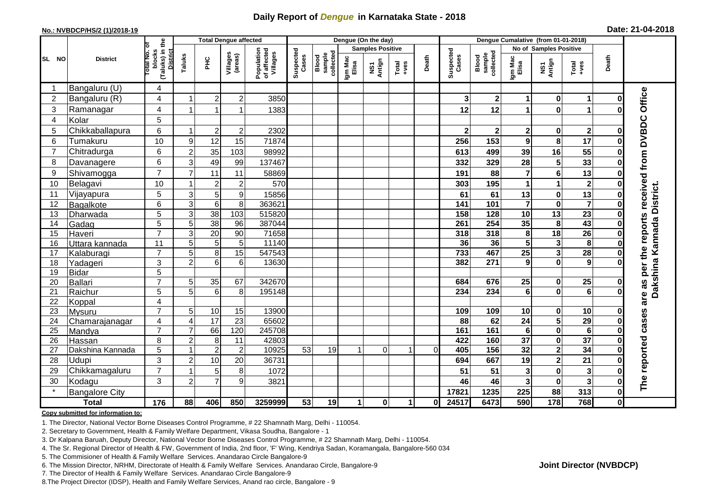## **Daily Report of** *Dengue* **in Karnataka State - 2018**

#### **No.: NVBDCP/HS/2 (1)/2018-19**

| Date: 21-04-2018 |  |  |  |  |
|------------------|--|--|--|--|
|------------------|--|--|--|--|

|                       | <b>Total Dengue affected</b> |                                                             |                  |                 |                     |                                       |                    |                              |                  | Dengue (On the day)     |                      |          |                    |                              |                         |                         |                         |              |                                                   |  |
|-----------------------|------------------------------|-------------------------------------------------------------|------------------|-----------------|---------------------|---------------------------------------|--------------------|------------------------------|------------------|-------------------------|----------------------|----------|--------------------|------------------------------|-------------------------|-------------------------|-------------------------|--------------|---------------------------------------------------|--|
|                       | <b>District</b>              |                                                             |                  |                 |                     |                                       |                    |                              |                  | <b>Samples Positive</b> |                      |          |                    |                              |                         | No of Samples Positive  |                         |              |                                                   |  |
| SL NO                 |                              | (Taluks) in the<br>otal No. of<br>blocks<br><b>District</b> | Taluks           | ΞÉ              | Villages<br>(areas) | Population<br>of affected<br>Villages | Suspected<br>Cases | sample<br>collected<br>Blood | Igm Mac<br>Elisa | NS1<br>Antign           | $Tota$<br>$+ves$     | Death    | Suspected<br>Cases | sample<br>collected<br>Blood | Igm Mac<br>Elisa        | NS1<br>Antign           | $Tota$<br>$+ves$        | Death        |                                                   |  |
|                       | Bangaluru (U)                | 4                                                           |                  |                 |                     |                                       |                    |                              |                  |                         |                      |          |                    |                              |                         |                         |                         |              |                                                   |  |
| $\overline{2}$        | Bangaluru (R)                | 4                                                           |                  | $\overline{c}$  | $\overline{c}$      | 3850                                  |                    |                              |                  |                         |                      |          | 3                  | $\mathbf 2$                  | 1                       | $\bf{0}$                | 1                       | 0            |                                                   |  |
| 3                     | Ramanagar                    | 4                                                           |                  |                 |                     | 1383                                  |                    |                              |                  |                         |                      |          | 12                 | 12                           | 1                       | $\bf{0}$                |                         |              | are as per the reports received from DVBDC Office |  |
| $\boldsymbol{\Delta}$ | Kolar                        | 5                                                           |                  |                 |                     |                                       |                    |                              |                  |                         |                      |          |                    |                              |                         |                         |                         |              |                                                   |  |
| 5                     | Chikkaballapura              | 6                                                           |                  | $\overline{2}$  | $\boldsymbol{2}$    | 2302                                  |                    |                              |                  |                         |                      |          |                    | $\mathbf 2$                  | 2                       | 0                       | $\overline{\mathbf{2}}$ | Ω            |                                                   |  |
| 6                     | Tumakuru                     | 10                                                          | $\boldsymbol{9}$ | 12              | 15                  | 71874                                 |                    |                              |                  |                         |                      |          | 256                | 153                          | 9                       | 8                       | 17                      | 0            |                                                   |  |
| $\overline{7}$        | Chitradurga                  | 6                                                           | $\overline{c}$   | 35              | 103                 | 98992                                 |                    |                              |                  |                         |                      |          | 613                | 499                          | 39                      | 16                      | 55                      | 0            |                                                   |  |
| 8                     | Davanagere                   | 6                                                           | 3                | 49              | 99                  | 137467                                |                    |                              |                  |                         |                      |          | 332                | 329                          | 28                      | 5                       | 33                      | $\bf{0}$     |                                                   |  |
| 9                     | Shivamogga                   | $\overline{7}$                                              | $\overline{7}$   | 11              | 11                  | 58869                                 |                    |                              |                  |                         |                      |          | 191                | 88                           | $\overline{7}$          | $\bf 6$                 | 13                      | 0            |                                                   |  |
| 10                    | Belagavi                     | 10                                                          |                  | $\overline{2}$  | $\overline{2}$      | 570                                   |                    |                              |                  |                         |                      |          | 303                | 195                          | 1                       | $\mathbf{1}$            | $\overline{2}$          | $\bf{0}$     |                                                   |  |
| 11                    | Vijayapura                   | 5                                                           | 3                | $\sqrt{5}$      | 9                   | 15856                                 |                    |                              |                  |                         |                      |          | 61                 | 61                           | 13                      | $\pmb{0}$               | 13                      | 0            | Dakshina Kannada District.                        |  |
| 12                    | Bagalkote                    | $\overline{6}$                                              | 3                | 6               | 8                   | 363621                                |                    |                              |                  |                         |                      |          | $\frac{141}{141}$  | 101                          | $\overline{\mathbf{7}}$ | $\mathbf 0$             | $\overline{7}$          | $\bf{0}$     |                                                   |  |
| 13                    | Dharwada                     | $\overline{5}$                                              | $\overline{3}$   | $\overline{38}$ | 103                 | 515820                                |                    |                              |                  |                         |                      |          | 158                | 128                          | $\overline{10}$         | $\overline{13}$         | $\overline{23}$         | $\bf{0}$     |                                                   |  |
| 14                    | Gadag                        | $\overline{5}$                                              | 5                | $\overline{38}$ | 96                  | 387044                                |                    |                              |                  |                         |                      |          | 261                | 254                          | 35                      | 8                       | 43                      | 0            |                                                   |  |
| 15                    | Haveri                       | $\overline{7}$                                              | $\mathbf{3}$     | 20              | 90                  | 71658                                 |                    |                              |                  |                         |                      |          | 318                | 318                          | $\pmb{8}$               | $\overline{18}$         | $\overline{26}$         | $\bf{0}$     |                                                   |  |
| 16                    | Uttara kannada               | $\overline{11}$                                             | $\overline{5}$   | 5               | 5                   | 11140                                 |                    |                              |                  |                         |                      |          | 36                 | 36                           | $\overline{\mathbf{5}}$ | $\overline{\mathbf{3}}$ | $\overline{\mathbf{8}}$ | 0            |                                                   |  |
| 17                    | Kalaburagi                   | $\overline{7}$                                              | 5                | 8               | 15                  | 547543                                |                    |                              |                  |                         |                      |          | 733                | 467                          | $\overline{25}$         | $\overline{\mathbf{3}}$ | 28                      | 0            |                                                   |  |
| 18                    | Yadageri                     | 3                                                           | $\overline{2}$   | 6               | 6                   | 13630                                 |                    |                              |                  |                         |                      |          | 382                | 271                          | 9                       | $\mathbf 0$             | 9                       |              |                                                   |  |
| 19                    | Bidar                        | 5                                                           |                  |                 |                     |                                       |                    |                              |                  |                         |                      |          |                    |                              |                         |                         |                         |              |                                                   |  |
| 20                    | Ballari                      | $\overline{7}$                                              | 5                | 35              | 67                  | 342670                                |                    |                              |                  |                         |                      |          | 684                | 676                          | 25                      | $\mathbf 0$             | 25                      | 0            |                                                   |  |
| 21                    | Raichur                      | 5                                                           | 5                | 6               | 8                   | 195148                                |                    |                              |                  |                         |                      |          | 234                | 234                          | 6                       | $\bf{0}$                | $\overline{6}$          | U            |                                                   |  |
| 22                    | Koppal                       | 4                                                           |                  |                 |                     |                                       |                    |                              |                  |                         |                      |          |                    |                              |                         |                         |                         |              |                                                   |  |
| 23                    | Mysuru                       | $\overline{7}$                                              | 5                | $10$            | 15                  | 13900                                 |                    |                              |                  |                         |                      |          | 109                | 109                          | 10                      | 0                       | 10                      | 0            |                                                   |  |
| 24                    | Chamarajanagar               | 4<br>$\overline{7}$                                         | 4                | 17              | 23                  | 65602                                 |                    |                              |                  |                         |                      |          | 88                 | 62                           | 24                      | 5                       | 29                      | $\bf{0}$     |                                                   |  |
| 25                    | Mandya                       |                                                             |                  | 66              | 120                 | 245708                                |                    |                              |                  |                         |                      |          | 161                | 161                          | $6\phantom{a}$          | $\overline{\mathbf{0}}$ | $\overline{6}$          | $\bf{0}$     |                                                   |  |
| 26                    | Hassan                       | 8                                                           | $\overline{2}$   | 8               | 11                  | 42803                                 | 53                 | 19                           |                  | $\Omega$                |                      | $\Omega$ | 422<br>405         | 160<br>156                   | 37<br>$\overline{32}$   | $\mathbf 0$             | $\overline{37}$<br>34   | 0            |                                                   |  |
| 27                    | Dakshina Kannada             | 5                                                           |                  | $\overline{2}$  | $\overline{c}$      | 10925                                 |                    |                              |                  |                         |                      |          |                    |                              |                         | $\overline{\mathbf{2}}$ |                         | $\bf{0}$     |                                                   |  |
| 28                    | Udupi                        | 3<br>$\overline{7}$                                         | $\overline{2}$   | 10              | 20                  | 36731                                 |                    |                              |                  |                         |                      |          | 694                | 667                          | 19                      | $\overline{\mathbf{2}}$ | 21                      | O            |                                                   |  |
| 29                    | Chikkamagaluru               |                                                             |                  | 5               | 8                   | 1072                                  |                    |                              |                  |                         |                      |          | 51                 | 51                           | 3                       | $\pmb{0}$               | $\mathbf{3}$            | ŋ            |                                                   |  |
| 30                    | Kodagu                       | 3                                                           | $\overline{2}$   | $\overline{7}$  | 9                   | 3821                                  |                    |                              |                  |                         |                      |          | 46                 | 46                           | 3                       | $\bf{0}$                | $\overline{\mathbf{3}}$ | 0            | The reported cases                                |  |
|                       | <b>Bangalore City</b>        |                                                             |                  |                 |                     |                                       |                    |                              |                  |                         |                      |          | 17821              | 1235                         | 225                     | 88                      | 313                     | $\mathbf 0$  |                                                   |  |
|                       | <b>Total</b>                 | $\frac{1}{176}$                                             | 88               | 406             | 850                 | 3259999                               | 53                 | 19                           | 1                | $\mathbf{0}$            | $\blacktriangleleft$ | 0l       | 24517              | 6473                         | 590                     | 178                     | 768                     | $\mathbf{0}$ |                                                   |  |

#### **Copy submitted for information to:**

1. The Director, National Vector Borne Diseases Control Programme, # 22 Shamnath Marg, Delhi - 110054.

2. Secretary to Government, Health & Family Welfare Department, Vikasa Soudha, Bangalore - 1

3. Dr Kalpana Baruah, Deputy Director, National Vector Borne Diseases Control Programme, # 22 Shamnath Marg, Delhi - 110054.

4. The Sr. Regional Director of Health & FW, Government of India, 2nd floor, 'F' Wing, Kendriya Sadan, Koramangala, Bangalore-560 034

5. The Commisioner of Health & Family Welfare Services. Anandarao Circle Bangalore-9

6. The Mission Director, NRHM, Directorate of Health & Family Welfare Services. Anandarao Circle, Bangalore-9

7. The Director of Health & Family Welfare Services. Anandarao Circle Bangalore-9

8.The Project Director (IDSP), Health and Family Welfare Services, Anand rao circle, Bangalore - 9